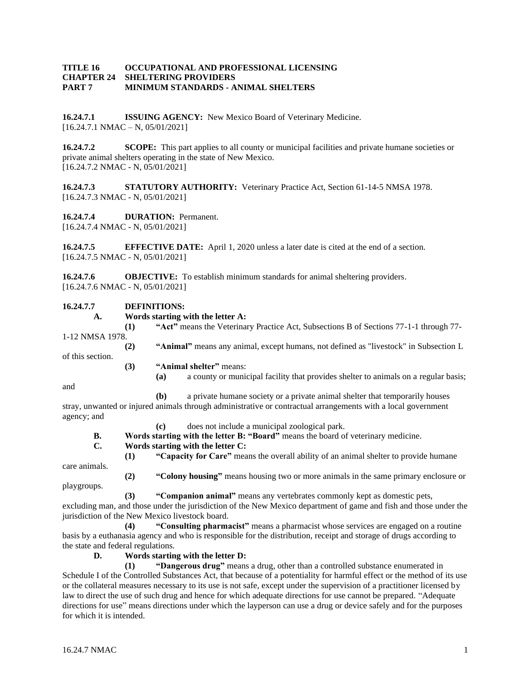### **TITLE 16 OCCUPATIONAL AND PROFESSIONAL LICENSING CHAPTER 24 SHELTERING PROVIDERS PART 7 MINIMUM STANDARDS - ANIMAL SHELTERS**

**16.24.7.1 ISSUING AGENCY:** New Mexico Board of Veterinary Medicine.  $[16.24.7.1 \text{ NMAC} - \text{N}, 05/01/2021]$ 

**16.24.7.2 SCOPE:** This part applies to all county or municipal facilities and private humane societies or private animal shelters operating in the state of New Mexico. [16.24.7.2 NMAC - N, 05/01/2021]

**16.24.7.3 STATUTORY AUTHORITY:** Veterinary Practice Act, Section 61-14-5 NMSA 1978. [16.24.7.3 NMAC - N, 05/01/2021]

**16.24.7.4 DURATION:** Permanent. [16.24.7.4 NMAC - N, 05/01/2021]

**16.24.7.5 EFFECTIVE DATE:** April 1, 2020 unless a later date is cited at the end of a section. [16.24.7.5 NMAC - N, 05/01/2021]

**16.24.7.6 OBJECTIVE:** To establish minimum standards for animal sheltering providers. [16.24.7.6 NMAC - N, 05/01/2021]

### **16.24.7.7 DEFINITIONS:**

- **A. Words starting with the letter A:**
- **(1) "Act"** means the Veterinary Practice Act, Subsections B of Sections 77-1-1 through 77- 1-12 NMSA 1978. **(2) "Animal"** means any animal, except humans, not defined as "livestock" in Subsection L
- 
- of this section.
	- **(3) "Animal shelter"** means:
		- **(a)** a county or municipal facility that provides shelter to animals on a regular basis;

and

**(b)** a private humane society or a private animal shelter that temporarily houses stray, unwanted or injured animals through administrative or contractual arrangements with a local government

- agency; and
	- **(c)** does not include a municipal zoological park.
	- **B. Words starting with the letter B: "Board"** means the board of veterinary medicine.
	- **C. Words starting with the letter C:**
	- **(1) "Capacity for Care"** means the overall ability of an animal shelter to provide humane

care animals.

**(2) "Colony housing"** means housing two or more animals in the same primary enclosure or playgroups.

**(3) "Companion animal"** means any vertebrates commonly kept as domestic pets,

excluding man, and those under the jurisdiction of the New Mexico department of game and fish and those under the jurisdiction of the New Mexico livestock board.

**(4) "Consulting pharmacist"** means a pharmacist whose services are engaged on a routine basis by a euthanasia agency and who is responsible for the distribution, receipt and storage of drugs according to the state and federal regulations.

**D. Words starting with the letter D:**

**(1) "Dangerous drug"** means a drug, other than a controlled substance enumerated in Schedule I of the Controlled Substances Act, that because of a potentiality for harmful effect or the method of its use or the collateral measures necessary to its use is not safe, except under the supervision of a practitioner licensed by law to direct the use of such drug and hence for which adequate directions for use cannot be prepared. "Adequate directions for use" means directions under which the layperson can use a drug or device safely and for the purposes for which it is intended.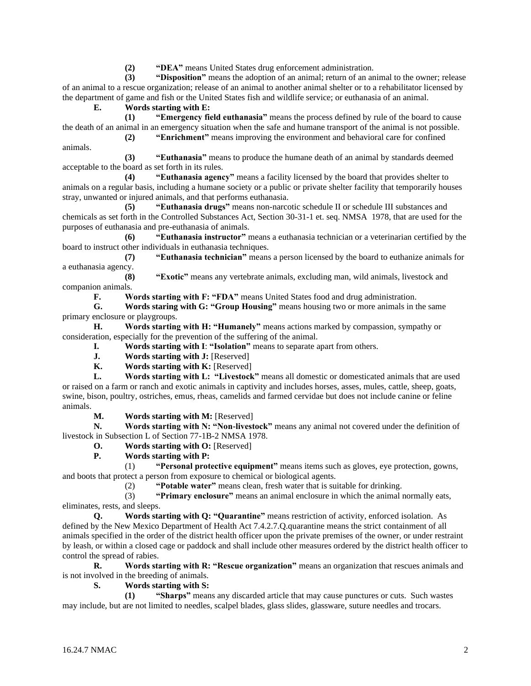**(2) "DEA"** means United States drug enforcement administration.

**(3) "Disposition"** means the adoption of an animal; return of an animal to the owner; release of an animal to a rescue organization; release of an animal to another animal shelter or to a rehabilitator licensed by the department of game and fish or the United States fish and wildlife service; or euthanasia of an animal.

**E. Words starting with E:**

**(1) "Emergency field euthanasia"** means the process defined by rule of the board to cause the death of an animal in an emergency situation when the safe and humane transport of the animal is not possible. **(2) "Enrichment"** means improving the environment and behavioral care for confined

animals.

**(3) "Euthanasia"** means to produce the humane death of an animal by standards deemed acceptable to the board as set forth in its rules.

**(4) "Euthanasia agency"** means a facility licensed by the board that provides shelter to animals on a regular basis, including a humane society or a public or private shelter facility that temporarily houses stray, unwanted or injured animals, and that performs euthanasia.

**(5) "Euthanasia drugs"** means non-narcotic schedule II or schedule III substances and chemicals as set forth in the Controlled Substances Act, Section 30-31-1 et. seq. NMSA 1978, that are used for the purposes of euthanasia and pre-euthanasia of animals.

**(6) "Euthanasia instructor"** means a euthanasia technician or a veterinarian certified by the board to instruct other individuals in euthanasia techniques.

**(7) "Euthanasia technician"** means a person licensed by the board to euthanize animals for a euthanasia agency.

**(8) "Exotic"** means any vertebrate animals, excluding man, wild animals, livestock and companion animals.<br> $\mathbf{F}$ .  $\mathbf{W}$ 

**F. Words starting with F: "FDA"** means United States food and drug administration.

**G. Words staring with G: "Group Housing"** means housing two or more animals in the same primary enclosure or playgroups.

**H. Words starting with H: "Humanely"** means actions marked by compassion, sympathy or consideration, especially for the prevention of the suffering of the animal.

**I. Words starting with I**: **"Isolation"** means to separate apart from others.

- **J. Words starting with J:** [Reserved]
- **K. Words starting with K:** [Reserved]

**L. Words starting with L: "Livestock"** means all domestic or domesticated animals that are used or raised on a farm or ranch and exotic animals in captivity and includes horses, asses, mules, cattle, sheep, goats, swine, bison, poultry, ostriches, emus, rheas, camelids and farmed cervidae but does not include canine or feline animals.

**M. Words starting with M:** [Reserved]

**N. Words starting with N: "Non-livestock"** means any animal not covered under the definition of livestock in Subsection L of Section 77-1B-2 NMSA 1978.

**O. Words starting with O:** [Reserved]

**P. Words starting with P:**

(1) **"Personal protective equipment"** means items such as gloves, eye protection, gowns, and boots that protect a person from exposure to chemical or biological agents.

(2) **"Potable water"** means clean, fresh water that is suitable for drinking.

(3) **"Primary enclosure"** means an animal enclosure in which the animal normally eats, eliminates, rests, and sleeps.

**Q. Words starting with Q: "Quarantine"** means restriction of activity, enforced isolation. As defined by the New Mexico Department of Health Act 7.4.2.7.Q.quarantine means the strict containment of all animals specified in the order of the district health officer upon the private premises of the owner, or under restraint by leash, or within a closed cage or paddock and shall include other measures ordered by the district health officer to control the spread of rabies.

**R. Words starting with R: "Rescue organization"** means an organization that rescues animals and is not involved in the breeding of animals.

**S. Words starting with S:**

**(1) "Sharps"** means any discarded article that may cause punctures or cuts. Such wastes may include, but are not limited to needles, scalpel blades, glass slides, glassware, suture needles and trocars.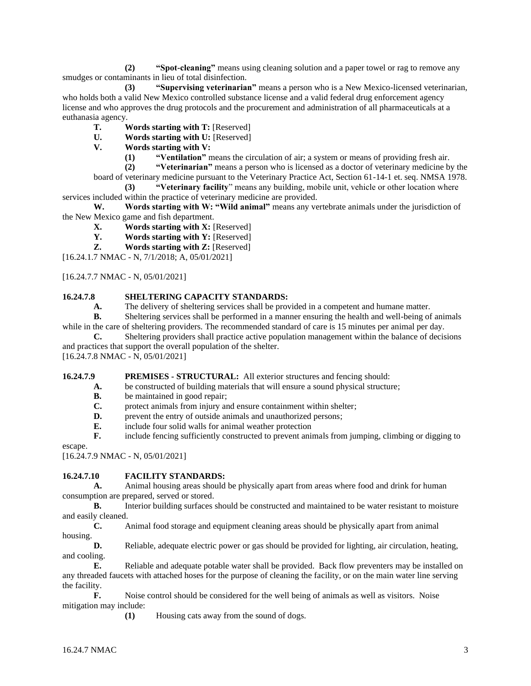**(2) "Spot-cleaning"** means using cleaning solution and a paper towel or rag to remove any smudges or contaminants in lieu of total disinfection.

**(3) "Supervising veterinarian"** means a person who is a New Mexico-licensed veterinarian, who holds both a valid New Mexico controlled substance license and a valid federal drug enforcement agency license and who approves the drug protocols and the procurement and administration of all pharmaceuticals at a euthanasia agency.

- **T. Words starting with T:** [Reserved]
- **U. Words starting with U:** [Reserved]
- **V. Words starting with V:**
	- **(1) "Ventilation"** means the circulation of air; a system or means of providing fresh air.

**(2) "Veterinarian"** means a person who is licensed as a doctor of veterinary medicine by the board of veterinary medicine pursuant to the Veterinary Practice Act, Section 61-14-1 et. seq. NMSA 1978.

**(3) "Veterinary facility**" means any building, mobile unit, vehicle or other location where services included within the practice of veterinary medicine are provided.

**W. Words starting with W: "Wild animal"** means any vertebrate animals under the jurisdiction of the New Mexico game and fish department.

- **X. Words starting with X:** [Reserved]
- **Y. Words starting with Y:** [Reserved]
- **Z. Words starting with Z:** [Reserved]

[16.24.1.7 NMAC - N, 7/1/2018; A, 05/01/2021]

[16.24.7.7 NMAC - N, 05/01/2021]

### **16.24.7.8 SHELTERING CAPACITY STANDARDS:**

**A.** The delivery of sheltering services shall be provided in a competent and humane matter.

**B.** Sheltering services shall be performed in a manner ensuring the health and well-being of animals while in the care of sheltering providers. The recommended standard of care is 15 minutes per animal per day.

**C.** Sheltering providers shall practice active population management within the balance of decisions and practices that support the overall population of the shelter.

[16.24.7.8 NMAC - N, 05/01/2021]

**16.24.7.9 PREMISES - STRUCTURAL:** All exterior structures and fencing should:

- **A.** be constructed of building materials that will ensure a sound physical structure;
- **B.** be maintained in good repair;<br>**C.** protect animals from injury an
- protect animals from injury and ensure containment within shelter;
- **D.** prevent the entry of outside animals and unauthorized persons;
- **E.** include four solid walls for animal weather protection
- **F.** include fencing sufficiently constructed to prevent animals from jumping, climbing or digging to

escape.

[16.24.7.9 NMAC - N, 05/01/2021]

### **16.24.7.10 FACILITY STANDARDS:**

**A.** Animal housing areas should be physically apart from areas where food and drink for human consumption are prepared, served or stored.

**B.** Interior building surfaces should be constructed and maintained to be water resistant to moisture and easily cleaned.

**C.** Animal food storage and equipment cleaning areas should be physically apart from animal housing.

**D.** Reliable, adequate electric power or gas should be provided for lighting, air circulation, heating, and cooling.

**E.** Reliable and adequate potable water shall be provided. Back flow preventers may be installed on any threaded faucets with attached hoses for the purpose of cleaning the facility, or on the main water line serving the facility.

**F.** Noise control should be considered for the well being of animals as well as visitors. Noise mitigation may include:

**(1)** Housing cats away from the sound of dogs.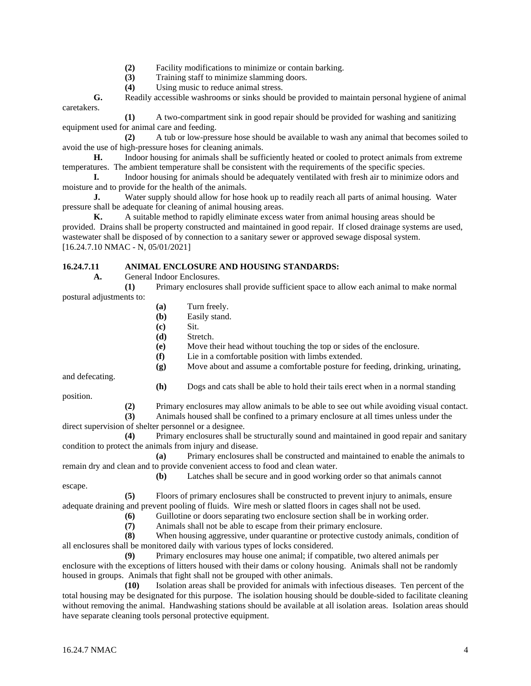- **(2)** Facility modifications to minimize or contain barking.
- **(3)** Training staff to minimize slamming doors.
- **(4)** Using music to reduce animal stress.

**G.** Readily accessible washrooms or sinks should be provided to maintain personal hygiene of animal caretakers.

**(1)** A two-compartment sink in good repair should be provided for washing and sanitizing equipment used for animal care and feeding.

**(2)** A tub or low-pressure hose should be available to wash any animal that becomes soiled to avoid the use of high-pressure hoses for cleaning animals.

**H.** Indoor housing for animals shall be sufficiently heated or cooled to protect animals from extreme temperatures. The ambient temperature shall be consistent with the requirements of the specific species.

**I.** Indoor housing for animals should be adequately ventilated with fresh air to minimize odors and moisture and to provide for the health of the animals.

**J.** Water supply should allow for hose hook up to readily reach all parts of animal housing. Water pressure shall be adequate for cleaning of animal housing areas.

**K.** A suitable method to rapidly eliminate excess water from animal housing areas should be provided. Drains shall be property constructed and maintained in good repair. If closed drainage systems are used, wastewater shall be disposed of by connection to a sanitary sewer or approved sewage disposal system. [16.24.7.10 NMAC - N, 05/01/2021]

# **16.24.7.11 ANIMAL ENCLOSURE AND HOUSING STANDARDS:**

**A.** General Indoor Enclosures.

**(1)** Primary enclosures shall provide sufficient space to allow each animal to make normal postural adjustments to:

- **(a)** Turn freely.
- **(b)** Easily stand.
- **(c)** Sit.
- **(d)** Stretch.
- **(e)** Move their head without touching the top or sides of the enclosure.
- **(f)** Lie in a comfortable position with limbs extended.

**(g)** Move about and assume a comfortable posture for feeding, drinking, urinating,

and defecating.

**(h)** Dogs and cats shall be able to hold their tails erect when in a normal standing

position.

**(2)** Primary enclosures may allow animals to be able to see out while avoiding visual contact.

**(3)** Animals housed shall be confined to a primary enclosure at all times unless under the direct supervision of shelter personnel or a designee.

**(4)** Primary enclosures shall be structurally sound and maintained in good repair and sanitary condition to protect the animals from injury and disease.

**(a)** Primary enclosures shall be constructed and maintained to enable the animals to remain dry and clean and to provide convenient access to food and clean water.

**(b)** Latches shall be secure and in good working order so that animals cannot

escape.

**(5)** Floors of primary enclosures shall be constructed to prevent injury to animals, ensure adequate draining and prevent pooling of fluids. Wire mesh or slatted floors in cages shall not be used.

- **(6)** Guillotine or doors separating two enclosure section shall be in working order.
- **(7)** Animals shall not be able to escape from their primary enclosure.

**(8)** When housing aggressive, under quarantine or protective custody animals, condition of all enclosures shall be monitored daily with various types of locks considered.

**(9)** Primary enclosures may house one animal; if compatible, two altered animals per enclosure with the exceptions of litters housed with their dams or colony housing. Animals shall not be randomly housed in groups. Animals that fight shall not be grouped with other animals.

**(10)** Isolation areas shall be provided for animals with infectious diseases. Ten percent of the total housing may be designated for this purpose. The isolation housing should be double-sided to facilitate cleaning without removing the animal. Handwashing stations should be available at all isolation areas. Isolation areas should have separate cleaning tools personal protective equipment.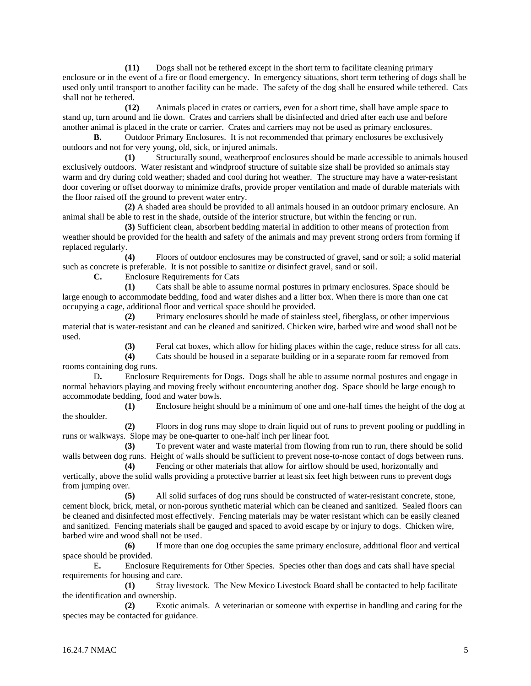**(11)** Dogs shall not be tethered except in the short term to facilitate cleaning primary enclosure or in the event of a fire or flood emergency. In emergency situations, short term tethering of dogs shall be used only until transport to another facility can be made. The safety of the dog shall be ensured while tethered. Cats shall not be tethered.

**(12)** Animals placed in crates or carriers, even for a short time, shall have ample space to stand up, turn around and lie down. Crates and carriers shall be disinfected and dried after each use and before another animal is placed in the crate or carrier. Crates and carriers may not be used as primary enclosures.

**B.** Outdoor Primary Enclosures. It is not recommended that primary enclosures be exclusively outdoors and not for very young, old, sick, or injured animals.

**(1)** Structurally sound, weatherproof enclosures should be made accessible to animals housed exclusively outdoors. Water resistant and windproof structure of suitable size shall be provided so animals stay warm and dry during cold weather; shaded and cool during hot weather. The structure may have a water-resistant door covering or offset doorway to minimize drafts, provide proper ventilation and made of durable materials with the floor raised off the ground to prevent water entry.

**(2)** A shaded area should be provided to all animals housed in an outdoor primary enclosure. An animal shall be able to rest in the shade, outside of the interior structure, but within the fencing or run.

**(3)** Sufficient clean, absorbent bedding material in addition to other means of protection from weather should be provided for the health and safety of the animals and may prevent strong orders from forming if replaced regularly.

**(4)** Floors of outdoor enclosures may be constructed of gravel, sand or soil; a solid material such as concrete is preferable. It is not possible to sanitize or disinfect gravel, sand or soil.

**C.** Enclosure Requirements for Cats

**(1)** Cats shall be able to assume normal postures in primary enclosures. Space should be large enough to accommodate bedding, food and water dishes and a litter box. When there is more than one cat occupying a cage, additional floor and vertical space should be provided.

**(2)** Primary enclosures should be made of stainless steel, fiberglass, or other impervious material that is water-resistant and can be cleaned and sanitized. Chicken wire, barbed wire and wood shall not be used.

**(3)** Feral cat boxes, which allow for hiding places within the cage, reduce stress for all cats.

**(4)** Cats should be housed in a separate building or in a separate room far removed from rooms containing dog runs.

D**.** Enclosure Requirements for Dogs. Dogs shall be able to assume normal postures and engage in normal behaviors playing and moving freely without encountering another dog. Space should be large enough to accommodate bedding, food and water bowls.

**(1)** Enclosure height should be a minimum of one and one-half times the height of the dog at the shoulder.

**(2)** Floors in dog runs may slope to drain liquid out of runs to prevent pooling or puddling in runs or walkways. Slope may be one-quarter to one-half inch per linear foot.

**(3)** To prevent water and waste material from flowing from run to run, there should be solid walls between dog runs. Height of walls should be sufficient to prevent nose-to-nose contact of dogs between runs.

**(4)** Fencing or other materials that allow for airflow should be used, horizontally and vertically, above the solid walls providing a protective barrier at least six feet high between runs to prevent dogs from jumping over.

**(5)** All solid surfaces of dog runs should be constructed of water-resistant concrete, stone, cement block, brick, metal, or non-porous synthetic material which can be cleaned and sanitized. Sealed floors can be cleaned and disinfected most effectively. Fencing materials may be water resistant which can be easily cleaned and sanitized. Fencing materials shall be gauged and spaced to avoid escape by or injury to dogs. Chicken wire, barbed wire and wood shall not be used.

**(6)** If more than one dog occupies the same primary enclosure, additional floor and vertical space should be provided.

E**.** Enclosure Requirements for Other Species. Species other than dogs and cats shall have special requirements for housing and care.

**(1)** Stray livestock. The New Mexico Livestock Board shall be contacted to help facilitate the identification and ownership.

**(2)** Exotic animals. A veterinarian or someone with expertise in handling and caring for the species may be contacted for guidance.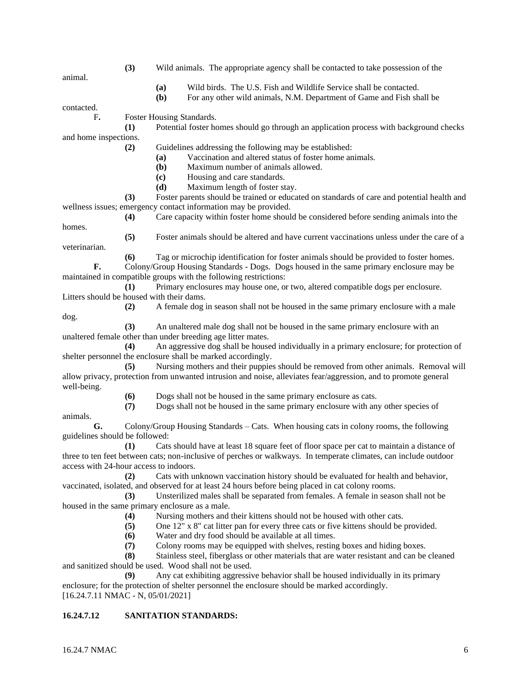- **(3)** Wild animals. The appropriate agency shall be contacted to take possession of the
	- **(a)** Wild birds. The U.S. Fish and Wildlife Service shall be contacted.
	- **(b)** For any other wild animals, N.M. Department of Game and Fish shall be

contacted.

animal.

F**.** Foster Housing Standards.

**(1)** Potential foster homes should go through an application process with background checks and home inspections.

**(2)** Guidelines addressing the following may be established:

- **(a)** Vaccination and altered status of foster home animals.
- **(b)** Maximum number of animals allowed.
- **(c)** Housing and care standards.
- **(d)** Maximum length of foster stay.

**(3)** Foster parents should be trained or educated on standards of care and potential health and wellness issues; emergency contact information may be provided.

**(4)** Care capacity within foster home should be considered before sending animals into the

homes.

dog.

**(5)** Foster animals should be altered and have current vaccinations unless under the care of a veterinarian.

**(6)** Tag or microchip identification for foster animals should be provided to foster homes. **F.** Colony/Group Housing Standards - Dogs. Dogs housed in the same primary enclosure may be maintained in compatible groups with the following restrictions:

**(1)** Primary enclosures may house one, or two, altered compatible dogs per enclosure. Litters should be housed with their dams.

**(2)** A female dog in season shall not be housed in the same primary enclosure with a male

**(3)** An unaltered male dog shall not be housed in the same primary enclosure with an unaltered female other than under breeding age litter mates.

**(4)** An aggressive dog shall be housed individually in a primary enclosure; for protection of shelter personnel the enclosure shall be marked accordingly.

**(5)** Nursing mothers and their puppies should be removed from other animals. Removal will allow privacy, protection from unwanted intrusion and noise, alleviates fear/aggression, and to promote general well-being.

**(6)** Dogs shall not be housed in the same primary enclosure as cats.

**(7)** Dogs shall not be housed in the same primary enclosure with any other species of

animals. **G.** Colony/Group Housing Standards – Cats. When housing cats in colony rooms, the following guidelines should be followed:

**(1)** Cats should have at least 18 square feet of floor space per cat to maintain a distance of three to ten feet between cats; non-inclusive of perches or walkways. In temperate climates, can include outdoor access with 24-hour access to indoors.

**(2)** Cats with unknown vaccination history should be evaluated for health and behavior, vaccinated, isolated, and observed for at least 24 hours before being placed in cat colony rooms.

**(3)** Unsterilized males shall be separated from females. A female in season shall not be housed in the same primary enclosure as a male.

**(4)** Nursing mothers and their kittens should not be housed with other cats.

**(5)** One 12" x 8" cat litter pan for every three cats or five kittens should be provided.

**(6)** Water and dry food should be available at all times.

**(7)** Colony rooms may be equipped with shelves, resting boxes and hiding boxes.

**(8)** Stainless steel, fiberglass or other materials that are water resistant and can be cleaned and sanitized should be used. Wood shall not be used.

**(9)** Any cat exhibiting aggressive behavior shall be housed individually in its primary enclosure; for the protection of shelter personnel the enclosure should be marked accordingly. [16.24.7.11 NMAC - N, 05/01/2021]

## **16.24.7.12 SANITATION STANDARDS:**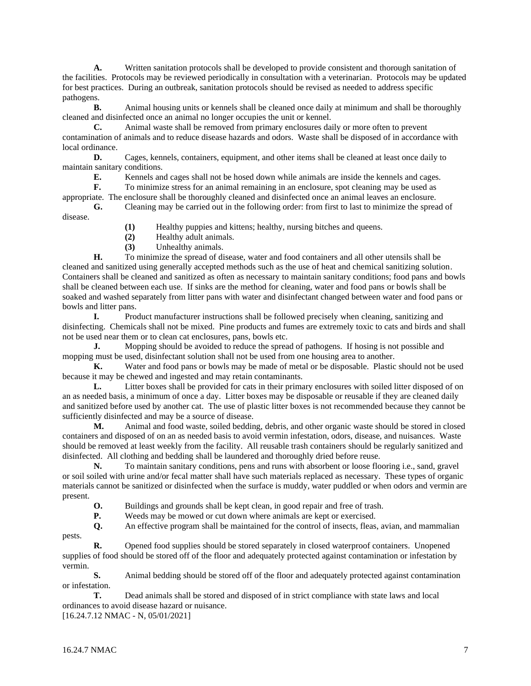**A.** Written sanitation protocols shall be developed to provide consistent and thorough sanitation of the facilities. Protocols may be reviewed periodically in consultation with a veterinarian. Protocols may be updated for best practices. During an outbreak, sanitation protocols should be revised as needed to address specific pathogens.

**B.** Animal housing units or kennels shall be cleaned once daily at minimum and shall be thoroughly cleaned and disinfected once an animal no longer occupies the unit or kennel.

**C.** Animal waste shall be removed from primary enclosures daily or more often to prevent contamination of animals and to reduce disease hazards and odors. Waste shall be disposed of in accordance with local ordinance.

**D.** Cages, kennels, containers, equipment, and other items shall be cleaned at least once daily to maintain sanitary conditions.

**E.** Kennels and cages shall not be hosed down while animals are inside the kennels and cages.

**F.** To minimize stress for an animal remaining in an enclosure, spot cleaning may be used as

appropriate. The enclosure shall be thoroughly cleaned and disinfected once an animal leaves an enclosure. **G.** Cleaning may be carried out in the following order: from first to last to minimize the spread of disease.

**(1)** Healthy puppies and kittens; healthy, nursing bitches and queens.

**(2)** Healthy adult animals.

**(3)** Unhealthy animals.

**H.** To minimize the spread of disease, water and food containers and all other utensils shall be cleaned and sanitized using generally accepted methods such as the use of heat and chemical sanitizing solution. Containers shall be cleaned and sanitized as often as necessary to maintain sanitary conditions; food pans and bowls shall be cleaned between each use. If sinks are the method for cleaning, water and food pans or bowls shall be soaked and washed separately from litter pans with water and disinfectant changed between water and food pans or bowls and litter pans.

**I.** Product manufacturer instructions shall be followed precisely when cleaning, sanitizing and disinfecting. Chemicals shall not be mixed. Pine products and fumes are extremely toxic to cats and birds and shall not be used near them or to clean cat enclosures, pans, bowls etc.

**J.** Mopping should be avoided to reduce the spread of pathogens. If hosing is not possible and mopping must be used, disinfectant solution shall not be used from one housing area to another.

**K.** Water and food pans or bowls may be made of metal or be disposable. Plastic should not be used because it may be chewed and ingested and may retain contaminants.

**L.** Litter boxes shall be provided for cats in their primary enclosures with soiled litter disposed of on an as needed basis, a minimum of once a day. Litter boxes may be disposable or reusable if they are cleaned daily and sanitized before used by another cat. The use of plastic litter boxes is not recommended because they cannot be sufficiently disinfected and may be a source of disease.

**M.** Animal and food waste, soiled bedding, debris, and other organic waste should be stored in closed containers and disposed of on an as needed basis to avoid vermin infestation, odors, disease, and nuisances. Waste should be removed at least weekly from the facility. All reusable trash containers should be regularly sanitized and disinfected. All clothing and bedding shall be laundered and thoroughly dried before reuse.

**N.** To maintain sanitary conditions, pens and runs with absorbent or loose flooring i.e., sand, gravel or soil soiled with urine and/or fecal matter shall have such materials replaced as necessary. These types of organic materials cannot be sanitized or disinfected when the surface is muddy, water puddled or when odors and vermin are present.

**O.** Buildings and grounds shall be kept clean, in good repair and free of trash.

**P.** Weeds may be mowed or cut down where animals are kept or exercised.

**Q.** An effective program shall be maintained for the control of insects, fleas, avian, and mammalian pests.

**R.** Opened food supplies should be stored separately in closed waterproof containers. Unopened supplies of food should be stored off of the floor and adequately protected against contamination or infestation by vermin.

**S.** Animal bedding should be stored off of the floor and adequately protected against contamination or infestation.

**T.** Dead animals shall be stored and disposed of in strict compliance with state laws and local ordinances to avoid disease hazard or nuisance.

[16.24.7.12 NMAC - N, 05/01/2021]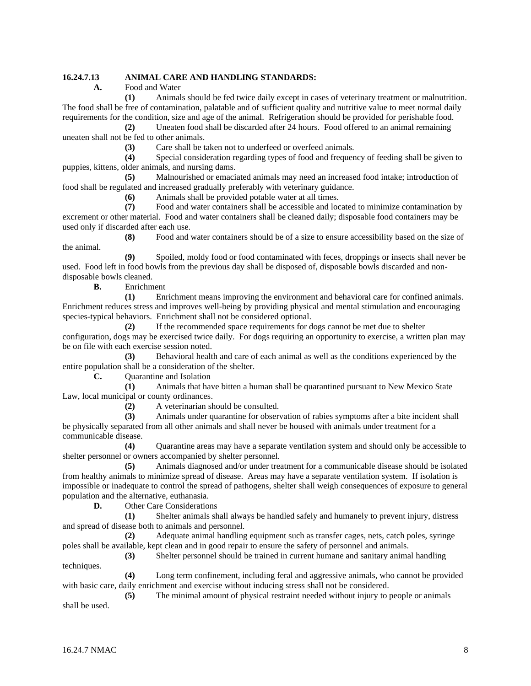# **16.24.7.13 ANIMAL CARE AND HANDLING STANDARDS:**

**A.** Food and Water

**(1)** Animals should be fed twice daily except in cases of veterinary treatment or malnutrition. The food shall be free of contamination, palatable and of sufficient quality and nutritive value to meet normal daily requirements for the condition, size and age of the animal. Refrigeration should be provided for perishable food.

**(2)** Uneaten food shall be discarded after 24 hours. Food offered to an animal remaining uneaten shall not be fed to other animals.

**(3)** Care shall be taken not to underfeed or overfeed animals.

**(4)** Special consideration regarding types of food and frequency of feeding shall be given to puppies, kittens, older animals, and nursing dams.

**(5)** Malnourished or emaciated animals may need an increased food intake; introduction of food shall be regulated and increased gradually preferably with veterinary guidance.

**(6)** Animals shall be provided potable water at all times.<br>**(7)** Food and water containers shall be accessible and loc

**(7)** Food and water containers shall be accessible and located to minimize contamination by excrement or other material. Food and water containers shall be cleaned daily; disposable food containers may be used only if discarded after each use.

**(8)** Food and water containers should be of a size to ensure accessibility based on the size of the animal.

**(9)** Spoiled, moldy food or food contaminated with feces, droppings or insects shall never be used. Food left in food bowls from the previous day shall be disposed of, disposable bowls discarded and nondisposable bowls cleaned.

**B.** Enrichment

**(1)** Enrichment means improving the environment and behavioral care for confined animals. Enrichment reduces stress and improves well-being by providing physical and mental stimulation and encouraging species-typical behaviors. Enrichment shall not be considered optional.

**(2)** If the recommended space requirements for dogs cannot be met due to shelter configuration, dogs may be exercised twice daily. For dogs requiring an opportunity to exercise, a written plan may be on file with each exercise session noted.

**(3)** Behavioral health and care of each animal as well as the conditions experienced by the entire population shall be a consideration of the shelter.

**C.** Quarantine and Isolation

**(1)** Animals that have bitten a human shall be quarantined pursuant to New Mexico State Law, local municipal or county ordinances.

**(2)** A veterinarian should be consulted.

**(3)** Animals under quarantine for observation of rabies symptoms after a bite incident shall be physically separated from all other animals and shall never be housed with animals under treatment for a communicable disease.

**(4)** Quarantine areas may have a separate ventilation system and should only be accessible to shelter personnel or owners accompanied by shelter personnel.

**(5)** Animals diagnosed and/or under treatment for a communicable disease should be isolated from healthy animals to minimize spread of disease. Areas may have a separate ventilation system. If isolation is impossible or inadequate to control the spread of pathogens, shelter shall weigh consequences of exposure to general population and the alternative, euthanasia.

**D.** Other Care Considerations

**(1)** Shelter animals shall always be handled safely and humanely to prevent injury, distress and spread of disease both to animals and personnel.

**(2)** Adequate animal handling equipment such as transfer cages, nets, catch poles, syringe poles shall be available, kept clean and in good repair to ensure the safety of personnel and animals.

**(3)** Shelter personnel should be trained in current humane and sanitary animal handling techniques.

**(4)** Long term confinement, including feral and aggressive animals, who cannot be provided with basic care, daily enrichment and exercise without inducing stress shall not be considered.

**(5)** The minimal amount of physical restraint needed without injury to people or animals shall be used.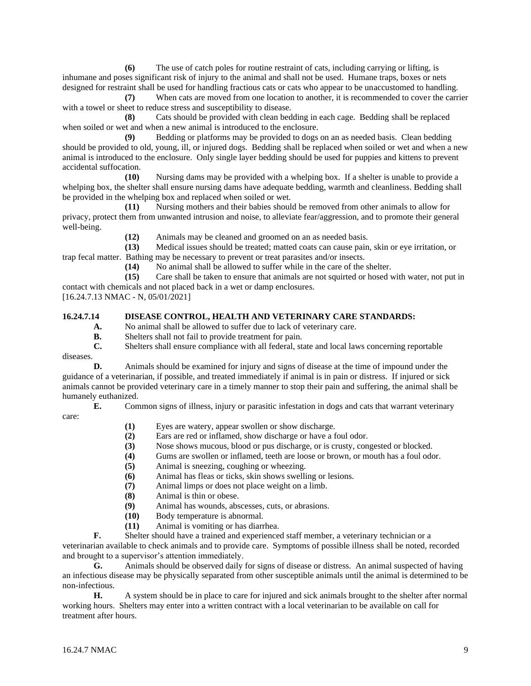**(6)** The use of catch poles for routine restraint of cats, including carrying or lifting, is inhumane and poses significant risk of injury to the animal and shall not be used. Humane traps, boxes or nets designed for restraint shall be used for handling fractious cats or cats who appear to be unaccustomed to handling.

**(7)** When cats are moved from one location to another, it is recommended to cover the carrier with a towel or sheet to reduce stress and susceptibility to disease.

**(8)** Cats should be provided with clean bedding in each cage. Bedding shall be replaced when soiled or wet and when a new animal is introduced to the enclosure.

**(9)** Bedding or platforms may be provided to dogs on an as needed basis. Clean bedding should be provided to old, young, ill, or injured dogs. Bedding shall be replaced when soiled or wet and when a new animal is introduced to the enclosure. Only single layer bedding should be used for puppies and kittens to prevent accidental suffocation.

**(10)** Nursing dams may be provided with a whelping box. If a shelter is unable to provide a whelping box, the shelter shall ensure nursing dams have adequate bedding, warmth and cleanliness. Bedding shall be provided in the whelping box and replaced when soiled or wet.

**(11)** Nursing mothers and their babies should be removed from other animals to allow for privacy, protect them from unwanted intrusion and noise, to alleviate fear/aggression, and to promote their general well-being.

**(12)** Animals may be cleaned and groomed on an as needed basis.

**(13)** Medical issues should be treated; matted coats can cause pain, skin or eye irritation, or trap fecal matter. Bathing may be necessary to prevent or treat parasites and/or insects.

**(14)** No animal shall be allowed to suffer while in the care of the shelter.

**(15)** Care shall be taken to ensure that animals are not squirted or hosed with water, not put in contact with chemicals and not placed back in a wet or damp enclosures.

[16.24.7.13 NMAC - N, 05/01/2021]

# **16.24.7.14 DISEASE CONTROL, HEALTH AND VETERINARY CARE STANDARDS:**

**A.** No animal shall be allowed to suffer due to lack of veterinary care.

**B.** Shelters shall not fail to provide treatment for pain.

**C.** Shelters shall ensure compliance with all federal, state and local laws concerning reportable

diseases.

**D.** Animals should be examined for injury and signs of disease at the time of impound under the guidance of a veterinarian, if possible, and treated immediately if animal is in pain or distress. If injured or sick animals cannot be provided veterinary care in a timely manner to stop their pain and suffering, the animal shall be humanely euthanized.

**E.** Common signs of illness, injury or parasitic infestation in dogs and cats that warrant veterinary care:

- **(1)** Eyes are watery, appear swollen or show discharge.
- **(2)** Ears are red or inflamed, show discharge or have a foul odor.
- **(3)** Nose shows mucous, blood or pus discharge, or is crusty, congested or blocked.
- **(4)** Gums are swollen or inflamed, teeth are loose or brown, or mouth has a foul odor.
- **(5)** Animal is sneezing, coughing or wheezing.
- **(6)** Animal has fleas or ticks, skin shows swelling or lesions.
- **(7)** Animal limps or does not place weight on a limb.
- **(8)** Animal is thin or obese.
- **(9)** Animal has wounds, abscesses, cuts, or abrasions.
- **(10)** Body temperature is abnormal.
- **(11)** Animal is vomiting or has diarrhea.

**F.** Shelter should have a trained and experienced staff member, a veterinary technician or a

veterinarian available to check animals and to provide care. Symptoms of possible illness shall be noted, recorded and brought to a supervisor's attention immediately.

**G.** Animals should be observed daily for signs of disease or distress. An animal suspected of having an infectious disease may be physically separated from other susceptible animals until the animal is determined to be non-infectious.

**H.** A system should be in place to care for injured and sick animals brought to the shelter after normal working hours. Shelters may enter into a written contract with a local veterinarian to be available on call for treatment after hours.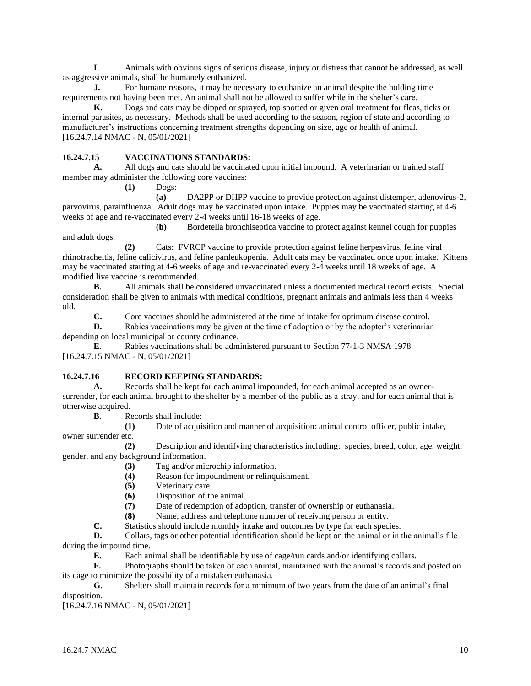**I.** Animals with obvious signs of serious disease, injury or distress that cannot be addressed, as well as aggressive animals, shall be humanely euthanized.

**J.** For humane reasons, it may be necessary to euthanize an animal despite the holding time requirements not having been met. An animal shall not be allowed to suffer while in the shelter's care.

**K.** Dogs and cats may be dipped or sprayed, top spotted or given oral treatment for fleas, ticks or internal parasites, as necessary. Methods shall be used according to the season, region of state and according to manufacturer's instructions concerning treatment strengths depending on size, age or health of animal. [16.24.7.14 NMAC - N, 05/01/2021]

# **16.24.7.15 VACCINATIONS STANDARDS:**

**A.** All dogs and cats should be vaccinated upon initial impound. A veterinarian or trained staff member may administer the following core vaccines:

**(1)** Dogs:

**(a)** DA2PP or DHPP vaccine to provide protection against distemper, adenovirus-2, parvovirus, parainfluenza. Adult dogs may be vaccinated upon intake. Puppies may be vaccinated starting at 4-6 weeks of age and re-vaccinated every 2-4 weeks until 16-18 weeks of age.

**(b)** Bordetella bronchiseptica vaccine to protect against kennel cough for puppies and adult dogs.

**(2)** Cats: FVRCP vaccine to provide protection against feline herpesvirus, feline viral rhinotracheitis, feline calicivirus, and feline panleukopenia. Adult cats may be vaccinated once upon intake. Kittens may be vaccinated starting at 4-6 weeks of age and re-vaccinated every 2-4 weeks until 18 weeks of age. A modified live vaccine is recommended.

**B.** All animals shall be considered unvaccinated unless a documented medical record exists. Special consideration shall be given to animals with medical conditions, pregnant animals and animals less than 4 weeks old.

**C.** Core vaccines should be administered at the time of intake for optimum disease control.

**D.** Rabies vaccinations may be given at the time of adoption or by the adopter's veterinarian depending on local municipal or county ordinance.

**E.** Rabies vaccinations shall be administered pursuant to Section 77-1-3 NMSA 1978. [16.24.7.15 NMAC - N, 05/01/2021]

## **16.24.7.16 RECORD KEEPING STANDARDS:**

**A.** Records shall be kept for each animal impounded, for each animal accepted as an ownersurrender, for each animal brought to the shelter by a member of the public as a stray, and for each animal that is otherwise acquired.

**B.** Records shall include:

**(1)** Date of acquisition and manner of acquisition: animal control officer, public intake,

owner surrender etc.

**(2)** Description and identifying characteristics including: species, breed, color, age, weight, gender, and any background information.

**(3)** Tag and/or microchip information.

**(4)** Reason for impoundment or relinquishment.

- **(5)** Veterinary care.
- **(6)** Disposition of the animal.

**(7)** Date of redemption of adoption, transfer of ownership or euthanasia.

**(8)** Name, address and telephone number of receiving person or entity.

**C.** Statistics should include monthly intake and outcomes by type for each species.

**D.** Collars, tags or other potential identification should be kept on the animal or in the animal's file during the impound time.

**E.** Each animal shall be identifiable by use of cage/run cards and/or identifying collars.

**F.** Photographs should be taken of each animal, maintained with the animal's records and posted on its cage to minimize the possibility of a mistaken euthanasia.

**G.** Shelters shall maintain records for a minimum of two years from the date of an animal's final disposition.

[16.24.7.16 NMAC - N, 05/01/2021]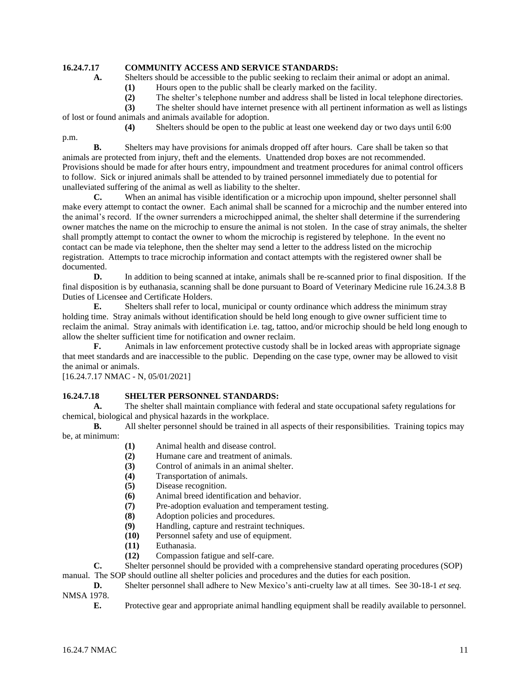# **16.24.7.17 COMMUNITY ACCESS AND SERVICE STANDARDS:**

A. Shelters should be accessible to the public seeking to reclaim their animal or adopt an animal.

**(1)** Hours open to the public shall be clearly marked on the facility.

**(2)** The shelter's telephone number and address shall be listed in local telephone directories.

**(3)** The shelter should have internet presence with all pertinent information as well as listings of lost or found animals and animals available for adoption.

**(4)** Shelters should be open to the public at least one weekend day or two days until 6:00

**B.** Shelters may have provisions for animals dropped off after hours. Care shall be taken so that animals are protected from injury, theft and the elements. Unattended drop boxes are not recommended. Provisions should be made for after hours entry, impoundment and treatment procedures for animal control officers to follow. Sick or injured animals shall be attended to by trained personnel immediately due to potential for unalleviated suffering of the animal as well as liability to the shelter.

**C.** When an animal has visible identification or a microchip upon impound, shelter personnel shall make every attempt to contact the owner. Each animal shall be scanned for a microchip and the number entered into the animal's record. If the owner surrenders a microchipped animal, the shelter shall determine if the surrendering owner matches the name on the microchip to ensure the animal is not stolen. In the case of stray animals, the shelter shall promptly attempt to contact the owner to whom the microchip is registered by telephone. In the event no contact can be made via telephone, then the shelter may send a letter to the address listed on the microchip registration. Attempts to trace microchip information and contact attempts with the registered owner shall be documented.

**D.** In addition to being scanned at intake, animals shall be re-scanned prior to final disposition. If the final disposition is by euthanasia, scanning shall be done pursuant to Board of Veterinary Medicine rule 16.24.3.8 B Duties of Licensee and Certificate Holders.

**E.** Shelters shall refer to local, municipal or county ordinance which address the minimum stray holding time. Stray animals without identification should be held long enough to give owner sufficient time to reclaim the animal. Stray animals with identification i.e. tag, tattoo, and/or microchip should be held long enough to allow the shelter sufficient time for notification and owner reclaim.

**F.** Animals in law enforcement protective custody shall be in locked areas with appropriate signage that meet standards and are inaccessible to the public. Depending on the case type, owner may be allowed to visit the animal or animals.

[16.24.7.17 NMAC - N, 05/01/2021]

p.m.

## **16.24.7.18 SHELTER PERSONNEL STANDARDS:**

**A.** The shelter shall maintain compliance with federal and state occupational safety regulations for chemical, biological and physical hazards in the workplace.

**B.** All shelter personnel should be trained in all aspects of their responsibilities. Training topics may be, at minimum:

- **(1)** Animal health and disease control.
- **(2)** Humane care and treatment of animals.
- **(3)** Control of animals in an animal shelter.
- **(4)** Transportation of animals.
- **(5)** Disease recognition.
- **(6)** Animal breed identification and behavior.
- **(7)** Pre-adoption evaluation and temperament testing.
- **(8)** Adoption policies and procedures.
- **(9)** Handling, capture and restraint techniques.
- **(10)** Personnel safety and use of equipment.
- **(11)** Euthanasia.
- **(12)** Compassion fatigue and self-care.

**C.** Shelter personnel should be provided with a comprehensive standard operating procedures (SOP) manual. The SOP should outline all shelter policies and procedures and the duties for each position.

**D.** Shelter personnel shall adhere to New Mexico's anti-cruelty law at all times. See 30-18-1 *et seq.* NMSA 1978.

**E.** Protective gear and appropriate animal handling equipment shall be readily available to personnel.